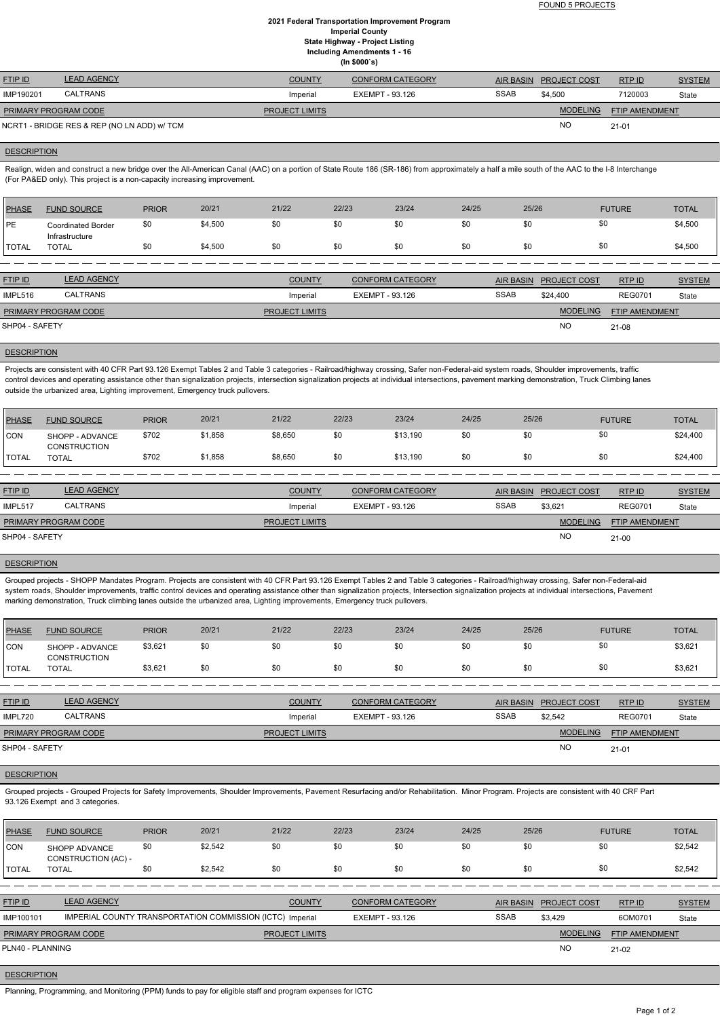FOUND 5 PROJECTS

### **2021 Federal Transportation Improvement Program Imperial County State Highway - Project Listing Including Amendments 1 - 16 (In \$000`s)**

| <b>FTIP ID</b>              | <b>LEAD AGENCY</b>                          | <b>COUNTY</b>         | <b>CONFORM CATEGORY</b> |             | AIR BASIN PROJECT COST | RTPID          | <b>SYSTEM</b> |
|-----------------------------|---------------------------------------------|-----------------------|-------------------------|-------------|------------------------|----------------|---------------|
| IMP190201                   | <b>CALTRANS</b>                             | Imperial              | EXEMPT - 93.126         | <b>SSAB</b> | \$4.500                | 7120003        | State         |
| <b>PRIMARY PROGRAM CODE</b> |                                             | <b>PROJECT LIMITS</b> |                         |             | <b>MODELING</b>        | FTIP AMENDMENT |               |
|                             | NCRT1 - BRIDGE RES & REP (NO LN ADD) w/ TCM |                       |                         |             | <b>NC</b>              | $21 - 01$      |               |

### **DESCRIPTION**

Realign, widen and construct a new bridge over the All-American Canal (AAC) on a portion of State Route 186 (SR-186) from approximately a half a mile south of the AAC to the I-8 Interchange (For PA&ED only). This project is a non-capacity increasing improvement.

Projects are consistent with 40 CFR Part 93.126 Exempt Tables 2 and Table 3 categories - Railroad/highway crossing, Safer non-Federal-aid system roads, Shoulder improvements, traffic control devices and operating assistance other than signalization projects, intersection signalization projects at individual intersections, pavement marking demonstration, Truck Climbing lanes outside the urbanized area, Lighting improvement, Emergency truck pullovers.

| <b>PHASE</b>   | <b>FUND SOURCE</b>                          | <b>PRIOR</b> | 20/21   | 21/22                 | 22/23                  | 23/24                   | 24/25       | 25/26            |                     | <b>FUTURE</b>  | <b>TOTAL</b>  |
|----------------|---------------------------------------------|--------------|---------|-----------------------|------------------------|-------------------------|-------------|------------------|---------------------|----------------|---------------|
| <b>IPE</b>     | <b>Coordinated Border</b><br>Infrastructure | \$0          | \$4,500 | \$0                   | \$0                    | \$0                     | \$0         | \$0              | \$0                 |                | \$4,500       |
| I TOTAL        | <b>TOTAL</b>                                | \$0          | \$4,500 | \$0                   | \$0                    | \$0                     | \$0         | \$0              | \$0                 |                | \$4,500       |
|                |                                             |              |         |                       |                        |                         |             |                  |                     |                |               |
| <b>FTIP ID</b> | <b>LEAD AGENCY</b>                          |              |         | <b>COUNTY</b>         |                        | <b>CONFORM CATEGORY</b> |             | <b>AIR BASIN</b> | <b>PROJECT COST</b> | RTP ID         | <b>SYSTEM</b> |
| IMPL516        | CALTRANS                                    |              |         | Imperial              | <b>EXEMPT - 93.126</b> |                         | <b>SSAB</b> |                  | \$24,400            | <b>REG0701</b> | State         |
|                | PRIMARY PROGRAM CODE                        |              |         | <b>PROJECT LIMITS</b> |                        |                         |             |                  | <b>MODELING</b>     | FTIP AMENDMENT |               |
| SHP04 - SAFETY |                                             |              |         |                       |                        |                         |             | <b>NO</b>        | 21-08               |                |               |

## **DESCRIPTION**

| PHASE        | <b>FUND SOURCE</b>                     | <b>PRIOR</b> | 20/21   | 21/22   | 22/23 | 23/24    | 24/25 | 25/26 | <b>FUTURE</b> | <b>TOTAL</b> |
|--------------|----------------------------------------|--------------|---------|---------|-------|----------|-------|-------|---------------|--------------|
| <b>CON</b>   | SHOPP - ADVANCE<br><b>CONSTRUCTION</b> | \$702        | \$1,858 | \$8,650 | \$0   | \$13,190 | \$0   | \$0   | \$0           | \$24,400     |
| <b>TOTAL</b> | <b>TOTAL</b>                           | \$702        | \$1,858 | \$8,650 | \$0   | \$13,190 | \$0   | \$0   | \$0           | \$24,400     |

| <b>FTIP ID</b>              | <b>LEAD AGENCY</b> | <b>COUNTY</b>         | <b>CONFORM CATEGORY</b> |             | AIR BASIN PROJECT COST | RTPID                 | <b>SYSTEM</b> |
|-----------------------------|--------------------|-----------------------|-------------------------|-------------|------------------------|-----------------------|---------------|
| IMPL517                     | <b>CALTRANS</b>    | Imperial              | EXEMPT - 93.126         | <b>SSAB</b> | \$3,621                | <b>REG0701</b>        | State         |
| <b>PRIMARY PROGRAM CODE</b> |                    | <b>PROJECT LIMITS</b> |                         |             | <b>MODELING</b>        | <b>FTIP AMENDMENT</b> |               |
| SHP04 - SAFETY              |                    |                       |                         |             | <b>NO</b>              | $21 - 00$             |               |

#### **DESCRIPTION**

Grouped projects - SHOPP Mandates Program. Projects are consistent with 40 CFR Part 93.126 Exempt Tables 2 and Table 3 categories - Railroad/highway crossing, Safer non-Federal-aid system roads, Shoulder improvements, traffic control devices and operating assistance other than signalization projects, Intersection signalization projects at individual intersections, Pavement marking demonstration, Truck climbing lanes outside the urbanized area, Lighting improvements, Emergency truck pullovers.

| PHASE        | <b>FUND SOURCE</b>                     | <b>PRIOR</b> | 20/21 | 21/22 | 22/23 | 23/24 | 24/25 | 25/26 | <b>FUTURE</b> | <b>TOTAL</b> |
|--------------|----------------------------------------|--------------|-------|-------|-------|-------|-------|-------|---------------|--------------|
| <b>CON</b>   | SHOPP - ADVANCE<br><b>CONSTRUCTION</b> | \$3,621      | \$0   | \$0   | \$0   | \$0   | \$0   | \$0   |               | \$3,621      |
| <b>TOTAL</b> | <b>TOTAL</b>                           | \$3,621      | \$0   | \$0   |       | \$0   | \$0   | \$0   |               | \$3,621      |

| <b>FTIP ID</b>              | <b>LEAD AGENCY</b> | <b>COUNTY</b>         | <b>CONFORM CATEGORY</b> |             | AIR BASIN PROJECT COST | RTPID                 | <b>SYSTEM</b> |
|-----------------------------|--------------------|-----------------------|-------------------------|-------------|------------------------|-----------------------|---------------|
| IMPL720                     | CALTRANS           | Imperial              | EXEMPT - 93.126         | <b>SSAB</b> | \$2.542                | <b>REG0701</b>        | State         |
| <b>PRIMARY PROGRAM CODE</b> |                    | <b>PROJECT LIMITS</b> |                         |             | <b>MODELING</b>        | <b>FTIP AMENDMENT</b> |               |
| SHP04 - SAFETY              |                    |                       |                         |             | <b>NO</b>              | $21 - 01$             |               |

### **DESCRIPTION**

Grouped projects - Grouped Projects for Safety Improvements, Shoulder Improvements, Pavement Resurfacing and/or Rehabilitation. Minor Program. Projects are consistent with 40 CRF Part 93.126 Exempt and 3 categories.

| <b>PHASE</b>     | <b>FUND SOURCE</b>                                        | <b>PRIOR</b> | 20/21   | 21/22                 | 22/23           | 23/24                   | 24/25       | 25/26            |                     | <b>FUTURE</b>  | <b>TOTAL</b>  |
|------------------|-----------------------------------------------------------|--------------|---------|-----------------------|-----------------|-------------------------|-------------|------------------|---------------------|----------------|---------------|
| <b>ICON</b>      | SHOPP ADVANCE<br>CONSTRUCTION (AC) -                      | \$0          | \$2,542 | \$0                   | \$0             | \$0                     | \$0         | \$0              | \$0                 |                | \$2,542       |
| <b>TOTAL</b>     | <b>TOTAL</b>                                              | \$0          | \$2.542 | \$0                   | \$0             | \$0                     | \$0         | \$0              | \$0                 |                | \$2,542       |
|                  |                                                           |              |         |                       |                 |                         |             |                  |                     |                |               |
| <b>FTIP ID</b>   | <b>LEAD AGENCY</b>                                        |              |         | <b>COUNTY</b>         |                 | <b>CONFORM CATEGORY</b> |             | <b>AIR BASIN</b> | <b>PROJECT COST</b> | RTP ID         | <b>SYSTEM</b> |
| IMP100101        | IMPERIAL COUNTY TRANSPORTATION COMMISSION (ICTC) Imperial |              |         |                       | EXEMPT - 93.126 |                         | <b>SSAB</b> |                  | \$3.429             | 6OM0701        | State         |
|                  | PRIMARY PROGRAM CODE                                      |              |         | <b>PROJECT LIMITS</b> |                 |                         |             |                  | <b>MODELING</b>     | FTIP AMENDMENT |               |
| PLN40 - PLANNING |                                                           |              |         |                       |                 |                         |             |                  | NO                  | $21-02$        |               |

# **DESCRIPTION**

Planning, Programming, and Monitoring (PPM) funds to pay for eligible staff and program expenses for ICTC